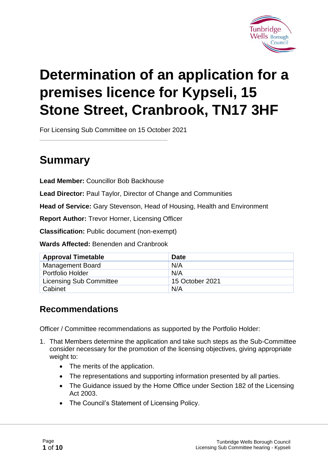

# **Determination of an application for a premises licence for Kypseli, 15 Stone Street, Cranbrook, TN17 3HF**

For Licensing Sub Committee on 15 October 2021

## **Summary**

**Lead Member:** Councillor Bob Backhouse

**Lead Director:** Paul Taylor, Director of Change and Communities

**Head of Service:** Gary Stevenson, Head of Housing, Health and Environment

**Report Author:** Trevor Horner, Licensing Officer

**Classification:** Public document (non-exempt)

**Wards Affected:** Benenden and Cranbrook

| <b>Approval Timetable</b>      | <b>Date</b>     |
|--------------------------------|-----------------|
| <b>Management Board</b>        | N/A             |
| <b>Portfolio Holder</b>        | N/A             |
| <b>Licensing Sub Committee</b> | 15 October 2021 |
| Cabinet                        | N/A             |

### **Recommendations**

Officer / Committee recommendations as supported by the Portfolio Holder:

- 1. That Members determine the application and take such steps as the Sub-Committee consider necessary for the promotion of the licensing objectives, giving appropriate weight to:
	- The merits of the application.
	- The representations and supporting information presented by all parties.
	- The Guidance issued by the Home Office under Section 182 of the Licensing Act 2003.
	- The Council's Statement of Licensing Policy.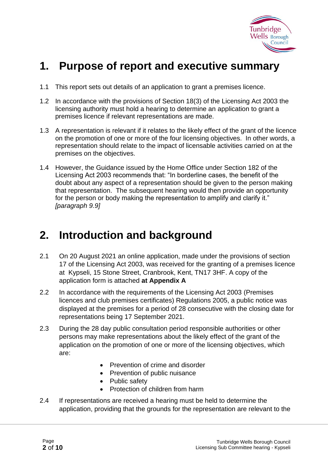

## **1. Purpose of report and executive summary**

- 1.1 This report sets out details of an application to grant a premises licence.
- 1.2 In accordance with the provisions of Section 18(3) of the Licensing Act 2003 the licensing authority must hold a hearing to determine an application to grant a premises licence if relevant representations are made.
- 1.3 A representation is relevant if it relates to the likely effect of the grant of the licence on the promotion of one or more of the four licensing objectives. In other words, a representation should relate to the impact of licensable activities carried on at the premises on the objectives.
- 1.4 However, the Guidance issued by the Home Office under Section 182 of the Licensing Act 2003 recommends that: "In borderline cases, the benefit of the doubt about any aspect of a representation should be given to the person making that representation. The subsequent hearing would then provide an opportunity for the person or body making the representation to amplify and clarify it." *[paragraph 9.9]*

## **2. Introduction and background**

- 2.1 On 20 August 2021 an online application, made under the provisions of section 17 of the Licensing Act 2003, was received for the granting of a premises licence at Kypseli, 15 Stone Street, Cranbrook, Kent, TN17 3HF. A copy of the application form is attached **at Appendix A**
- 2.2 In accordance with the requirements of the Licensing Act 2003 (Premises licences and club premises certificates) Regulations 2005, a public notice was displayed at the premises for a period of 28 consecutive with the closing date for representations being 17 September 2021.
- 2.3 During the 28 day public consultation period responsible authorities or other persons may make representations about the likely effect of the grant of the application on the promotion of one or more of the licensing objectives, which are:
	- Prevention of crime and disorder
	- Prevention of public nuisance
	- Public safety
	- Protection of children from harm
- 2.4 If representations are received a hearing must be held to determine the application, providing that the grounds for the representation are relevant to the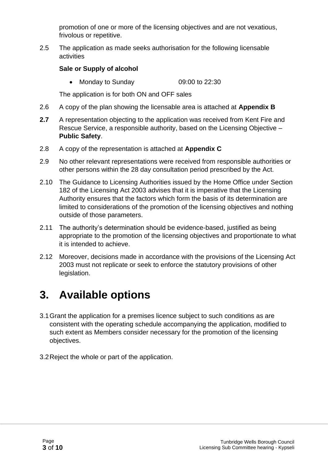promotion of one or more of the licensing objectives and are not vexatious, frivolous or repetitive.

2.5 The application as made seeks authorisation for the following licensable activities

#### **Sale or Supply of alcohol**

• Monday to Sunday 09:00 to 22:30

The application is for both ON and OFF sales

- 2.6 A copy of the plan showing the licensable area is attached at **Appendix B**
- **2.7** A representation objecting to the application was received from Kent Fire and Rescue Service, a responsible authority, based on the Licensing Objective – **Public Safety**.
- 2.8 A copy of the representation is attached at **Appendix C**
- 2.9 No other relevant representations were received from responsible authorities or other persons within the 28 day consultation period prescribed by the Act.
- 2.10 The Guidance to Licensing Authorities issued by the Home Office under Section 182 of the Licensing Act 2003 advises that it is imperative that the Licensing Authority ensures that the factors which form the basis of its determination are limited to considerations of the promotion of the licensing objectives and nothing outside of those parameters.
- 2.11 The authority's determination should be evidence-based, justified as being appropriate to the promotion of the licensing objectives and proportionate to what it is intended to achieve.
- 2.12 Moreover, decisions made in accordance with the provisions of the Licensing Act 2003 must not replicate or seek to enforce the statutory provisions of other legislation.

## **3. Available options**

- 3.1Grant the application for a premises licence subject to such conditions as are consistent with the operating schedule accompanying the application, modified to such extent as Members consider necessary for the promotion of the licensing objectives.
- 3.2Reject the whole or part of the application.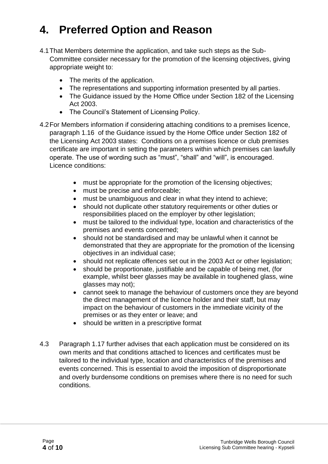## **4. Preferred Option and Reason**

- 4.1That Members determine the application, and take such steps as the Sub-Committee consider necessary for the promotion of the licensing objectives, giving appropriate weight to:
	- The merits of the application.
	- The representations and supporting information presented by all parties.
	- The Guidance issued by the Home Office under Section 182 of the Licensing Act 2003.
	- The Council's Statement of Licensing Policy.
- 4.2For Members information if considering attaching conditions to a premises licence, paragraph 1.16 of the Guidance issued by the Home Office under Section 182 of the Licensing Act 2003 states: Conditions on a premises licence or club premises certificate are important in setting the parameters within which premises can lawfully operate. The use of wording such as "must", "shall" and "will", is encouraged. Licence conditions:
	- must be appropriate for the promotion of the licensing objectives;
	- must be precise and enforceable;
	- must be unambiguous and clear in what they intend to achieve;
	- should not duplicate other statutory requirements or other duties or responsibilities placed on the employer by other legislation;
	- must be tailored to the individual type, location and characteristics of the premises and events concerned;
	- should not be standardised and may be unlawful when it cannot be demonstrated that they are appropriate for the promotion of the licensing objectives in an individual case;
	- should not replicate offences set out in the 2003 Act or other legislation;
	- should be proportionate, justifiable and be capable of being met, (for example, whilst beer glasses may be available in toughened glass, wine glasses may not);
	- cannot seek to manage the behaviour of customers once they are beyond the direct management of the licence holder and their staff, but may impact on the behaviour of customers in the immediate vicinity of the premises or as they enter or leave; and
	- should be written in a prescriptive format
- 4.3 Paragraph 1.17 further advises that each application must be considered on its own merits and that conditions attached to licences and certificates must be tailored to the individual type, location and characteristics of the premises and events concerned. This is essential to avoid the imposition of disproportionate and overly burdensome conditions on premises where there is no need for such conditions.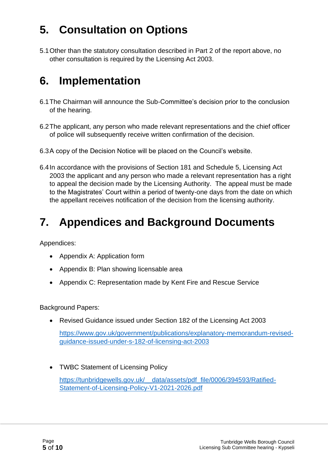## **5. Consultation on Options**

5.1Other than the statutory consultation described in Part 2 of the report above, no other consultation is required by the Licensing Act 2003.

## **6. Implementation**

- 6.1The Chairman will announce the Sub-Committee's decision prior to the conclusion of the hearing.
- 6.2The applicant, any person who made relevant representations and the chief officer of police will subsequently receive written confirmation of the decision.
- 6.3A copy of the Decision Notice will be placed on the Council's website.
- 6.4In accordance with the provisions of Section 181 and Schedule 5, Licensing Act 2003 the applicant and any person who made a relevant representation has a right to appeal the decision made by the Licensing Authority. The appeal must be made to the Magistrates' Court within a period of twenty-one days from the date on which the appellant receives notification of the decision from the licensing authority.

## **7. Appendices and Background Documents**

Appendices:

- Appendix A: Application form
- Appendix B: Plan showing licensable area
- Appendix C: Representation made by Kent Fire and Rescue Service

Background Papers:

• Revised Guidance issued under Section 182 of the Licensing Act 2003

[https://www.gov.uk/government/publications/explanatory-memorandum-revised](https://www.gov.uk/government/publications/explanatory-memorandum-revised-guidance-issued-under-s-182-of-licensing-act-2003)[guidance-issued-under-s-182-of-licensing-act-2003](https://www.gov.uk/government/publications/explanatory-memorandum-revised-guidance-issued-under-s-182-of-licensing-act-2003)

• TWBC Statement of Licensing Policy [https://tunbridgewells.gov.uk/\\_\\_data/assets/pdf\\_file/0006/394593/Ratified-](https://tunbridgewells.gov.uk/__data/assets/pdf_file/0006/394593/Ratified-Statement-of-Licensing-Policy-V1-2021-2026.pdf)[Statement-of-Licensing-Policy-V1-2021-2026.pdf](https://tunbridgewells.gov.uk/__data/assets/pdf_file/0006/394593/Ratified-Statement-of-Licensing-Policy-V1-2021-2026.pdf)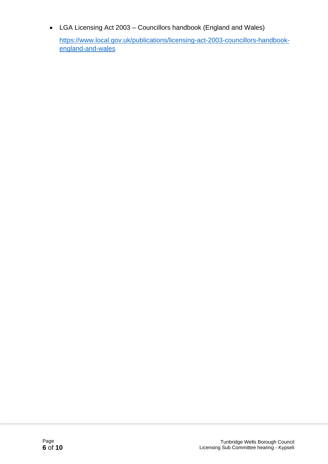• LGA Licensing Act 2003 – Councillors handbook (England and Wales)

[https://www.local.gov.uk/publications/licensing-act-2003-councillors-handbook](https://www.local.gov.uk/publications/licensing-act-2003-councillors-handbook-england-and-wales)[england-and-wales](https://www.local.gov.uk/publications/licensing-act-2003-councillors-handbook-england-and-wales)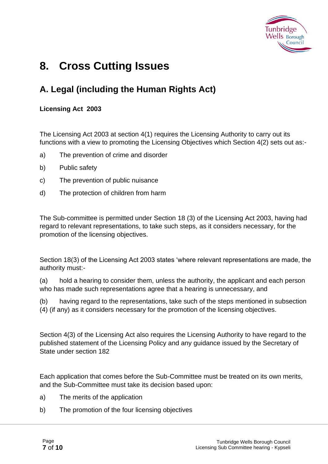

## **8. Cross Cutting Issues**

### **A. Legal (including the Human Rights Act)**

#### **Licensing Act 2003**

The Licensing Act 2003 at section 4(1) requires the Licensing Authority to carry out its functions with a view to promoting the Licensing Objectives which Section 4(2) sets out as:-

- a) The prevention of crime and disorder
- b) Public safety
- c) The prevention of public nuisance
- d) The protection of children from harm

The Sub-committee is permitted under Section 18 (3) of the Licensing Act 2003, having had regard to relevant representations, to take such steps, as it considers necessary, for the promotion of the licensing objectives.

Section 18(3) of the Licensing Act 2003 states 'where relevant representations are made, the authority must:-

(a) hold a hearing to consider them, unless the authority, the applicant and each person who has made such representations agree that a hearing is unnecessary, and

(b) having regard to the representations, take such of the steps mentioned in subsection (4) (if any) as it considers necessary for the promotion of the licensing objectives.

Section 4(3) of the Licensing Act also requires the Licensing Authority to have regard to the published statement of the Licensing Policy and any guidance issued by the Secretary of State under section 182

Each application that comes before the Sub-Committee must be treated on its own merits, and the Sub-Committee must take its decision based upon:

- a) The merits of the application
- b) The promotion of the four licensing objectives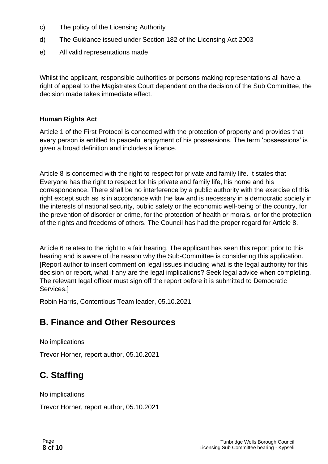- c) The policy of the Licensing Authority
- d) The Guidance issued under Section 182 of the Licensing Act 2003
- e) All valid representations made

Whilst the applicant, responsible authorities or persons making representations all have a right of appeal to the Magistrates Court dependant on the decision of the Sub Committee, the decision made takes immediate effect.

#### **Human Rights Act**

Article 1 of the First Protocol is concerned with the protection of property and provides that every person is entitled to peaceful enjoyment of his possessions. The term 'possessions' is given a broad definition and includes a licence.

Article 8 is concerned with the right to respect for private and family life. It states that Everyone has the right to respect for his private and family life, his home and his correspondence. There shall be no interference by a public authority with the exercise of this right except such as is in accordance with the law and is necessary in a democratic society in the interests of national security, public safety or the economic well-being of the country, for the prevention of disorder or crime, for the protection of health or morals, or for the protection of the rights and freedoms of others. The Council has had the proper regard for Article 8.

Article 6 relates to the right to a fair hearing. The applicant has seen this report prior to this hearing and is aware of the reason why the Sub-Committee is considering this application. [Report author to insert comment on legal issues including what is the legal authority for this decision or report, what if any are the legal implications? Seek legal advice when completing. The relevant legal officer must sign off the report before it is submitted to Democratic Services.]

Robin Harris, Contentious Team leader, 05.10.2021

### **B. Finance and Other Resources**

No implications

Trevor Horner, report author, 05.10.2021

## **C. Staffing**

No implications

Trevor Horner, report author, 05.10.2021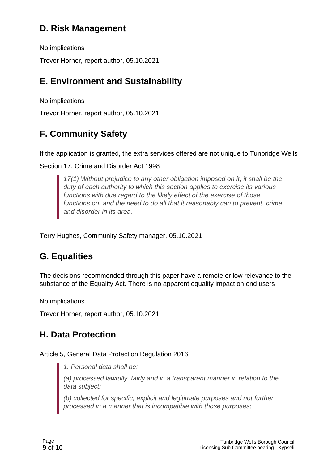### **D. Risk Management**

No implications

Trevor Horner, report author, 05.10.2021

### **E. Environment and Sustainability**

No implications

Trevor Horner, report author, 05.10.2021

## **F. Community Safety**

If the application is granted, the extra services offered are not unique to Tunbridge Wells

Section 17, Crime and Disorder Act 1998

*17(1) Without prejudice to any other obligation imposed on it, it shall be the duty of each authority to which this section applies to exercise its various functions with due regard to the likely effect of the exercise of those functions on, and the need to do all that it reasonably can to prevent, crime and disorder in its area.*

Terry Hughes, Community Safety manager, 05.10.2021

### **G. Equalities**

The decisions recommended through this paper have a remote or low relevance to the substance of the Equality Act. There is no apparent equality impact on end users

No implications

Trevor Horner, report author, 05.10.2021

### **H. Data Protection**

#### Article 5, General Data Protection Regulation 2016

*1. Personal data shall be:*

*(a) processed lawfully, fairly and in a transparent manner in relation to the data subject;*

*(b) collected for specific, explicit and legitimate purposes and not further processed in a manner that is incompatible with those purposes;*